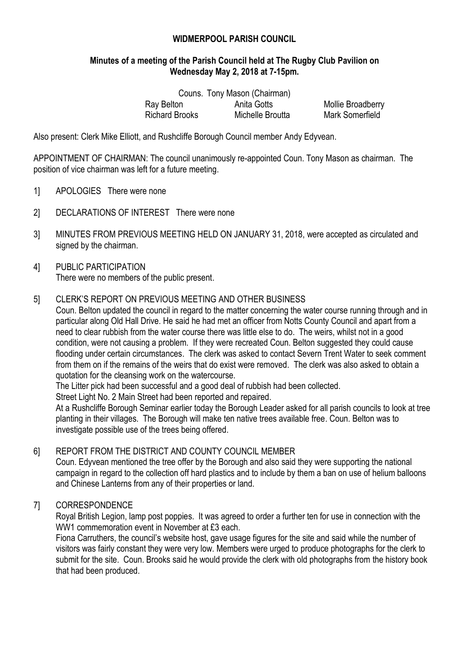# **WIDMERPOOL PARISH COUNCIL**

# **Minutes of a meeting of the Parish Council held at The Rugby Club Pavilion on Wednesday May 2, 2018 at 7-15pm.**

|                       | Couns. Tony Mason (Chairman) |                        |
|-----------------------|------------------------------|------------------------|
| Ray Belton            | Anita Gotts                  | Mollie Broadberry      |
| <b>Richard Brooks</b> | Michelle Broutta             | <b>Mark Somerfield</b> |

Also present: Clerk Mike Elliott, and Rushcliffe Borough Council member Andy Edyvean.

APPOINTMENT OF CHAIRMAN: The council unanimously re-appointed Coun. Tony Mason as chairman. The position of vice chairman was left for a future meeting.

- 1] APOLOGIES There were none
- 2] DECLARATIONS OF INTEREST There were none
- 3] MINUTES FROM PREVIOUS MEETING HELD ON JANUARY 31, 2018, were accepted as circulated and signed by the chairman.
- 4] PUBLIC PARTICIPATION There were no members of the public present.

#### 5] CLERK'S REPORT ON PREVIOUS MEETING AND OTHER BUSINESS

Coun. Belton updated the council in regard to the matter concerning the water course running through and in particular along Old Hall Drive. He said he had met an officer from Notts County Council and apart from a need to clear rubbish from the water course there was little else to do. The weirs, whilst not in a good condition, were not causing a problem. If they were recreated Coun. Belton suggested they could cause flooding under certain circumstances. The clerk was asked to contact Severn Trent Water to seek comment from them on if the remains of the weirs that do exist were removed. The clerk was also asked to obtain a quotation for the cleansing work on the watercourse.

The Litter pick had been successful and a good deal of rubbish had been collected.

Street Light No. 2 Main Street had been reported and repaired.

At a Rushcliffe Borough Seminar earlier today the Borough Leader asked for all parish councils to look at tree planting in their villages. The Borough will make ten native trees available free. Coun. Belton was to investigate possible use of the trees being offered.

# 6] REPORT FROM THE DISTRICT AND COUNTY COUNCIL MEMBER

Coun. Edyvean mentioned the tree offer by the Borough and also said they were supporting the national campaign in regard to the collection off hard plastics and to include by them a ban on use of helium balloons and Chinese Lanterns from any of their properties or land.

# 7] CORRESPONDENCE

Royal British Legion, lamp post poppies. It was agreed to order a further ten for use in connection with the WW1 commemoration event in November at £3 each.

Fiona Carruthers, the council's website host, gave usage figures for the site and said while the number of visitors was fairly constant they were very low. Members were urged to produce photographs for the clerk to submit for the site. Coun. Brooks said he would provide the clerk with old photographs from the history book that had been produced.